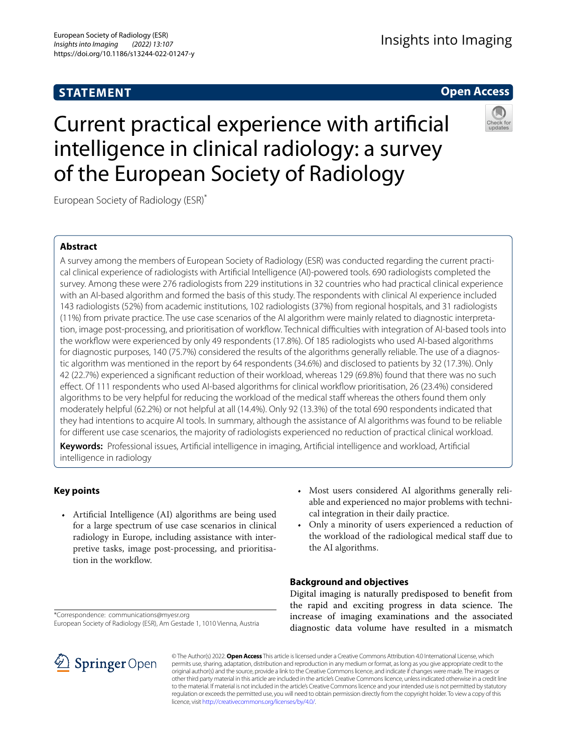# **STATEMENT**

# **Open Access**

# Current practical experience with artifcial intelligence in clinical radiology: a survey of the European Society of Radiology

European Society of Radiology (ESR)\*

# **Abstract**

A survey among the members of European Society of Radiology (ESR) was conducted regarding the current practical clinical experience of radiologists with Artifcial Intelligence (AI)-powered tools. 690 radiologists completed the survey. Among these were 276 radiologists from 229 institutions in 32 countries who had practical clinical experience with an AI-based algorithm and formed the basis of this study. The respondents with clinical AI experience included 143 radiologists (52%) from academic institutions, 102 radiologists (37%) from regional hospitals, and 31 radiologists (11%) from private practice. The use case scenarios of the AI algorithm were mainly related to diagnostic interpretation, image post-processing, and prioritisation of workflow. Technical difficulties with integration of AI-based tools into the workfow were experienced by only 49 respondents (17.8%). Of 185 radiologists who used AI-based algorithms for diagnostic purposes, 140 (75.7%) considered the results of the algorithms generally reliable. The use of a diagnostic algorithm was mentioned in the report by 64 respondents (34.6%) and disclosed to patients by 32 (17.3%). Only 42 (22.7%) experienced a signifcant reduction of their workload, whereas 129 (69.8%) found that there was no such efect. Of 111 respondents who used AI-based algorithms for clinical workfow prioritisation, 26 (23.4%) considered algorithms to be very helpful for reducing the workload of the medical staff whereas the others found them only moderately helpful (62.2%) or not helpful at all (14.4%). Only 92 (13.3%) of the total 690 respondents indicated that they had intentions to acquire AI tools. In summary, although the assistance of AI algorithms was found to be reliable for diferent use case scenarios, the majority of radiologists experienced no reduction of practical clinical workload.

**Keywords:** Professional issues, Artifcial intelligence in imaging, Artifcial intelligence and workload, Artifcial intelligence in radiology

# **Key points**

- Artifcial Intelligence (AI) algorithms are being used for a large spectrum of use case scenarios in clinical radiology in Europe, including assistance with interpretive tasks, image post-processing, and prioritisation in the workflow.
- \*Correspondence: communications@myesr.org European Society of Radiology (ESR), Am Gestade 1, 1010 Vienna, Austria
- SpringerOpen
- Most users considered AI algorithms generally reliable and experienced no major problems with technical integration in their daily practice.
- Only a minority of users experienced a reduction of the workload of the radiological medical staf due to the AI algorithms.

# **Background and objectives**

Digital imaging is naturally predisposed to beneft from the rapid and exciting progress in data science. The increase of imaging examinations and the associated diagnostic data volume have resulted in a mismatch

© The Author(s) 2022. **Open Access** This article is licensed under a Creative Commons Attribution 4.0 International License, which permits use, sharing, adaptation, distribution and reproduction in any medium or format, as long as you give appropriate credit to the original author(s) and the source, provide a link to the Creative Commons licence, and indicate if changes were made. The images or other third party material in this article are included in the article's Creative Commons licence, unless indicated otherwise in a credit line to the material. If material is not included in the article's Creative Commons licence and your intended use is not permitted by statutory regulation or exceeds the permitted use, you will need to obtain permission directly from the copyright holder. To view a copy of this licence, visit [http://creativecommons.org/licenses/by/4.0/.](http://creativecommons.org/licenses/by/4.0/)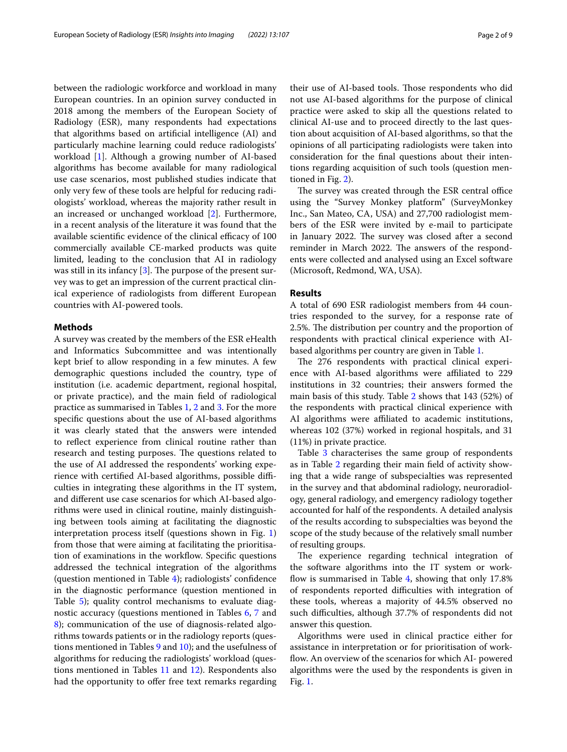between the radiologic workforce and workload in many European countries. In an opinion survey conducted in 2018 among the members of the European Society of Radiology (ESR), many respondents had expectations that algorithms based on artifcial intelligence (AI) and particularly machine learning could reduce radiologists' workload [\[1\]](#page-8-0). Although a growing number of AI-based algorithms has become available for many radiological use case scenarios, most published studies indicate that only very few of these tools are helpful for reducing radiologists' workload, whereas the majority rather result in an increased or unchanged workload [\[2](#page-8-1)]. Furthermore, in a recent analysis of the literature it was found that the available scientific evidence of the clinical efficacy of 100 commercially available CE-marked products was quite limited, leading to the conclusion that AI in radiology was still in its infancy  $[3]$  $[3]$ . The purpose of the present survey was to get an impression of the current practical clinical experience of radiologists from diferent European countries with AI-powered tools.

### **Methods**

A survey was created by the members of the ESR eHealth and Informatics Subcommittee and was intentionally kept brief to allow responding in a few minutes. A few demographic questions included the country, type of institution (i.e. academic department, regional hospital, or private practice), and the main feld of radiological practice as summarised in Tables [1,](#page-2-0) [2](#page-3-0) and [3](#page-4-0). For the more specifc questions about the use of AI-based algorithms it was clearly stated that the answers were intended to refect experience from clinical routine rather than research and testing purposes. The questions related to the use of AI addressed the respondents' working experience with certified AI-based algorithms, possible difficulties in integrating these algorithms in the IT system, and diferent use case scenarios for which AI-based algorithms were used in clinical routine, mainly distinguishing between tools aiming at facilitating the diagnostic interpretation process itself (questions shown in Fig. [1](#page-4-1)) from those that were aiming at facilitating the prioritisation of examinations in the workflow. Specific questions addressed the technical integration of the algorithms (question mentioned in Table [4\)](#page-4-2); radiologists' confdence in the diagnostic performance (question mentioned in Table [5](#page-4-3)); quality control mechanisms to evaluate diagnostic accuracy (questions mentioned in Tables [6,](#page-5-0) [7](#page-5-1) and [8\)](#page-5-2); communication of the use of diagnosis-related algorithms towards patients or in the radiology reports (questions mentioned in Tables [9](#page-5-3) and [10](#page-5-4)); and the usefulness of algorithms for reducing the radiologists' workload (questions mentioned in Tables [11](#page-5-5) and [12\)](#page-5-6). Respondents also had the opportunity to offer free text remarks regarding their use of AI-based tools. Those respondents who did not use AI-based algorithms for the purpose of clinical practice were asked to skip all the questions related to clinical AI-use and to proceed directly to the last question about acquisition of AI-based algorithms, so that the opinions of all participating radiologists were taken into consideration for the fnal questions about their intentions regarding acquisition of such tools (question mentioned in Fig. [2\)](#page-6-0).

The survey was created through the ESR central office using the "Survey Monkey platform" (SurveyMonkey Inc., San Mateo, CA, USA) and 27,700 radiologist members of the ESR were invited by e-mail to participate in January 2022. The survey was closed after a second reminder in March 2022. The answers of the respondents were collected and analysed using an Excel software (Microsoft, Redmond, WA, USA).

#### **Results**

A total of 690 ESR radiologist members from 44 countries responded to the survey, for a response rate of 2.5%. The distribution per country and the proportion of respondents with practical clinical experience with AIbased algorithms per country are given in Table [1.](#page-2-0)

The 276 respondents with practical clinical experience with AI-based algorithms were affiliated to 229 institutions in 32 countries; their answers formed the main basis of this study. Table [2](#page-3-0) shows that 143 (52%) of the respondents with practical clinical experience with AI algorithms were affiliated to academic institutions, whereas 102 (37%) worked in regional hospitals, and 31 (11%) in private practice.

Table [3](#page-4-0) characterises the same group of respondents as in Table [2](#page-3-0) regarding their main feld of activity showing that a wide range of subspecialties was represented in the survey and that abdominal radiology, neuroradiology, general radiology, and emergency radiology together accounted for half of the respondents. A detailed analysis of the results according to subspecialties was beyond the scope of the study because of the relatively small number of resulting groups.

The experience regarding technical integration of the software algorithms into the IT system or work-flow is summarised in Table [4](#page-4-2), showing that only 17.8% of respondents reported difficulties with integration of these tools, whereas a majority of 44.5% observed no such difficulties, although 37.7% of respondents did not answer this question.

Algorithms were used in clinical practice either for assistance in interpretation or for prioritisation of workflow. An overview of the scenarios for which AI- powered algorithms were the used by the respondents is given in Fig. [1.](#page-4-1)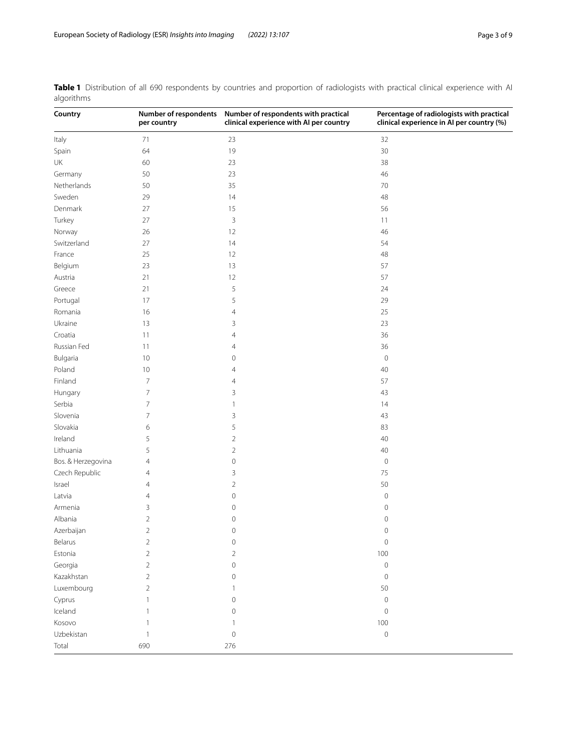| Country            | Number of respondents<br>per country | Number of respondents with practical<br>clinical experience with AI per country | Percentage of radiologists with practical<br>clinical experience in AI per country (%) |
|--------------------|--------------------------------------|---------------------------------------------------------------------------------|----------------------------------------------------------------------------------------|
| Italy              | $71$                                 | 23                                                                              | 32                                                                                     |
| Spain              | 64                                   | 19                                                                              | 30                                                                                     |
| UK                 | 60                                   | 23                                                                              | 38                                                                                     |
| Germany            | 50                                   | 23                                                                              | 46                                                                                     |
| Netherlands        | 50                                   | 35                                                                              | 70                                                                                     |
| Sweden             | 29                                   | 14                                                                              | 48                                                                                     |
| Denmark            | 27                                   | 15                                                                              | 56                                                                                     |
| Turkey             | 27                                   | $\mathsf 3$                                                                     | 11                                                                                     |
| Norway             | 26                                   | 12                                                                              | 46                                                                                     |
| Switzerland        | 27                                   | 14                                                                              | 54                                                                                     |
| France             | 25                                   | 12                                                                              | 48                                                                                     |
| Belgium            | 23                                   | 13                                                                              | 57                                                                                     |
| Austria            | 21                                   | 12                                                                              | 57                                                                                     |
| Greece             | 21                                   | 5                                                                               | 24                                                                                     |
| Portugal           | 17                                   | 5                                                                               | 29                                                                                     |
| Romania            | 16                                   | $\overline{4}$                                                                  | 25                                                                                     |
| Ukraine            | 13                                   | 3                                                                               | 23                                                                                     |
| Croatia            | 11                                   | $\overline{4}$                                                                  | 36                                                                                     |
| Russian Fed        | 11                                   | $\overline{4}$                                                                  | 36                                                                                     |
| Bulgaria           | 10                                   | $\mathbf 0$                                                                     | $\mathbf 0$                                                                            |
| Poland             | $10$                                 | 4                                                                               | $40\,$                                                                                 |
| Finland            | $\overline{7}$                       | 4                                                                               | 57                                                                                     |
| Hungary            | $\overline{7}$                       | 3                                                                               | 43                                                                                     |
| Serbia             | $\overline{7}$                       | 1                                                                               | 14                                                                                     |
| Slovenia           | $\overline{7}$                       | 3                                                                               | 43                                                                                     |
| Slovakia           | 6                                    | 5                                                                               | 83                                                                                     |
| Ireland            | 5                                    | $\sqrt{2}$                                                                      | $40\,$                                                                                 |
| Lithuania          | 5                                    | $\sqrt{2}$                                                                      | $40\,$                                                                                 |
| Bos. & Herzegovina | $\overline{4}$                       | $\mathbf 0$                                                                     | $\mathsf{O}\xspace$                                                                    |
| Czech Republic     | 4                                    | 3                                                                               | $75\,$                                                                                 |
| Israel             | $\overline{4}$                       | $\overline{2}$                                                                  | 50                                                                                     |
| Latvia             | 4                                    | $\mathbf 0$                                                                     | $\circ$                                                                                |
| Armenia            | 3                                    | $\mathbf 0$                                                                     | $\circ$                                                                                |
| Albania            | $\overline{2}$                       | $\mathbf 0$                                                                     | $\circ$                                                                                |
| Azerbaijan         | $\overline{2}$                       | $\mathbf 0$                                                                     | 0                                                                                      |
| Belarus            | $\overline{2}$                       | $\mathbf 0$                                                                     | $\mathbf 0$                                                                            |
| Estonia            | $\overline{2}$                       | $\overline{2}$                                                                  | 100                                                                                    |
| Georgia            | $\overline{2}$                       | $\mathbf 0$                                                                     | $\mathbf 0$                                                                            |
| Kazakhstan         | $\overline{2}$                       | $\mathbf 0$                                                                     | $\mathbf 0$                                                                            |
| Luxembourg         | $\overline{2}$                       |                                                                                 | 50                                                                                     |
| Cyprus             | 1                                    | $\mathbf 0$                                                                     | $\mathbb O$                                                                            |
| Iceland            |                                      | $\mathbf 0$                                                                     | $\mathbf 0$                                                                            |
| Kosovo             |                                      |                                                                                 | $100\,$                                                                                |
| Uzbekistan         | 1                                    | $\mathbf 0$                                                                     | $\mathbf 0$                                                                            |
| Total              | 690                                  | 276                                                                             |                                                                                        |

<span id="page-2-0"></span>**Table 1** Distribution of all 690 respondents by countries and proportion of radiologists with practical clinical experience with AI algorithms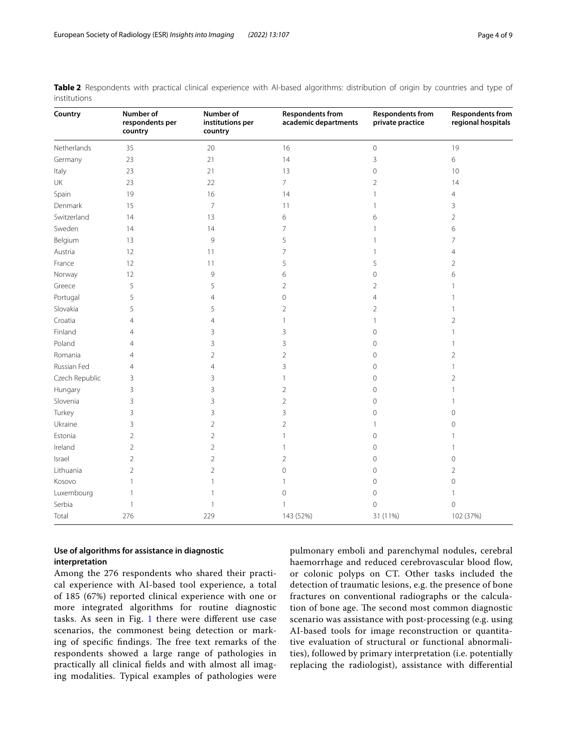| Country        | Number of<br>respondents per<br>country | Number of<br>institutions per<br>country | <b>Respondents from</b><br>academic departments | <b>Respondents from</b><br>private practice | <b>Respondents from</b><br>regional hospitals |
|----------------|-----------------------------------------|------------------------------------------|-------------------------------------------------|---------------------------------------------|-----------------------------------------------|
| Netherlands    | 35                                      | 20                                       | 16                                              | $\mathbf 0$                                 | 19                                            |
| Germany        | 23                                      | 21                                       | 14                                              | 3                                           | 6                                             |
| Italy          | 23                                      | 21                                       | 13                                              | $\mathbf 0$                                 | 10                                            |
| UK             | 23                                      | 22                                       | $\overline{7}$                                  | $\overline{2}$                              | 14                                            |
| Spain          | 19                                      | 16                                       | 14                                              | 1                                           | $\overline{4}$                                |
| Denmark        | 15                                      | $\overline{7}$                           | 11                                              | 1                                           | 3                                             |
| Switzerland    | 14                                      | 13                                       | 6                                               | 6                                           | $\overline{2}$                                |
| Sweden         | 14                                      | 14                                       | 7                                               | 1                                           | 6                                             |
| Belgium        | 13                                      | 9                                        | 5                                               | 1                                           | 7                                             |
| Austria        | 12                                      | 11                                       | 7                                               | 1                                           | 4                                             |
| France         | 12                                      | 11                                       | 5                                               | 5                                           | $\overline{2}$                                |
| Norway         | 12                                      | 9                                        | 6                                               | $\mathbf 0$                                 | 6                                             |
| Greece         | 5                                       | 5                                        | $\overline{2}$                                  | $\overline{2}$                              |                                               |
| Portugal       | 5                                       | $\overline{4}$                           | $\mathbf 0$                                     | 4                                           |                                               |
| Slovakia       | 5                                       | 5                                        | $\overline{2}$                                  | $\overline{2}$                              |                                               |
| Croatia        | $\overline{4}$                          | 4                                        | 1                                               | 1                                           | $\overline{2}$                                |
| Finland        | 4                                       | 3                                        | 3                                               | $\circ$                                     |                                               |
| Poland         | 4                                       | 3                                        | 3                                               | $\mathbf 0$                                 |                                               |
| Romania        | $\overline{4}$                          | $\overline{c}$                           | $\overline{2}$                                  | $\mathbf 0$                                 | $\overline{2}$                                |
| Russian Fed    | $\overline{4}$                          | $\overline{4}$                           | 3                                               | $\mathbf 0$                                 |                                               |
| Czech Republic | 3                                       | 3                                        | 1                                               | $\mathbf 0$                                 | $\overline{2}$                                |
| Hungary        | 3                                       | 3                                        | $\overline{2}$                                  | $\mathbf 0$                                 |                                               |
| Slovenia       | 3                                       | 3                                        | $\overline{2}$                                  | $\circ$                                     |                                               |
| Turkey         | 3                                       | 3                                        | 3                                               | 0                                           | $\mathbf 0$                                   |
| Ukraine        | 3                                       | $\overline{c}$                           | $\overline{2}$                                  | 1                                           | $\mathbf 0$                                   |
| Estonia        | $\overline{2}$                          | $\overline{2}$                           | 1                                               | $\mathbf 0$                                 |                                               |
| Ireland        | $\overline{2}$                          | $\overline{c}$                           | 1                                               | $\mathbf 0$                                 |                                               |
| Israel         | $\overline{2}$                          | $\overline{2}$                           | $\overline{2}$                                  | $\mathbf 0$                                 | $\mathbf 0$                                   |
| Lithuania      | $\overline{2}$                          | $\overline{2}$                           | $\mathbf 0$                                     | $\mathbf 0$                                 | $\overline{2}$                                |
| Kosovo         | 1                                       | 1                                        | 1                                               | $\mathbf 0$                                 | $\mathbf 0$                                   |
| Luxembourg     |                                         |                                          | 0                                               | $\circ$                                     |                                               |
| Serbia         | $\mathbf{1}$                            | 1                                        | 1                                               | $\mathbf 0$                                 | $\mathbf 0$                                   |
| Total          | 276                                     | 229                                      | 143 (52%)                                       | 31 (11%)                                    | 102 (37%)                                     |

<span id="page-3-0"></span>**Table 2** Respondents with practical clinical experience with AI-based algorithms: distribution of origin by countries and type of institutions

# **Use of algorithms for assistance in diagnostic interpretation**

Among the 276 respondents who shared their practical experience with AI-based tool experience, a total of 185 (67%) reported clinical experience with one or more integrated algorithms for routine diagnostic tasks. As seen in Fig. [1](#page-4-1) there were different use case scenarios, the commonest being detection or marking of specific findings. The free text remarks of the respondents showed a large range of pathologies in practically all clinical felds and with almost all imaging modalities. Typical examples of pathologies were

pulmonary emboli and parenchymal nodules, cerebral haemorrhage and reduced cerebrovascular blood flow, or colonic polyps on CT. Other tasks included the detection of traumatic lesions, e.g. the presence of bone fractures on conventional radiographs or the calculation of bone age. The second most common diagnostic scenario was assistance with post-processing (e.g. using AI-based tools for image reconstruction or quantitative evaluation of structural or functional abnormalities), followed by primary interpretation (i.e. potentially replacing the radiologist), assistance with diferential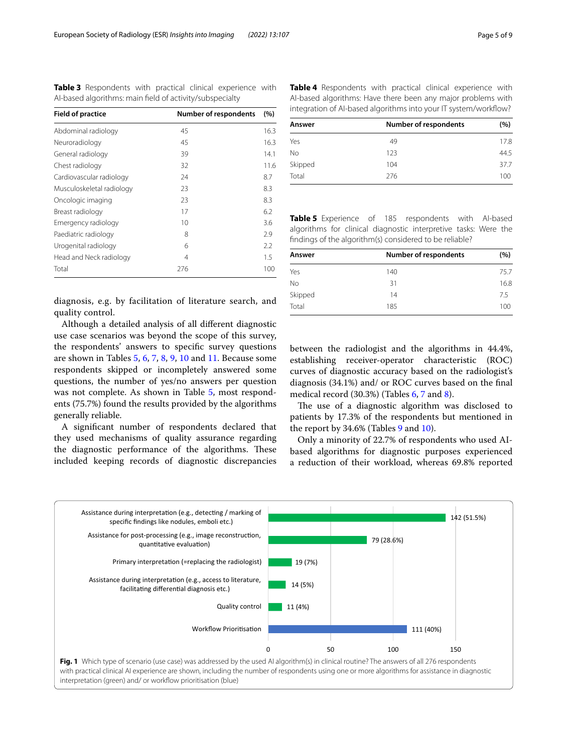<span id="page-4-0"></span>**Table 3** Respondents with practical clinical experience with AI-based algorithms: main feld of activity/subspecialty

| <b>Field of practice</b>  | <b>Number of respondents</b> | (%)  |
|---------------------------|------------------------------|------|
| Abdominal radiology       | 45                           | 16.3 |
| Neuroradiology            | 45                           | 16.3 |
| General radiology         | 39                           | 14.1 |
| Chest radiology           | 32                           | 11.6 |
| Cardiovascular radiology  | 24                           | 8.7  |
| Musculoskeletal radiology | 23                           | 8.3  |
| Oncologic imaging         | 23                           | 8.3  |
| Breast radiology          | 17                           | 6.2  |
| Emergency radiology       | 10                           | 3.6  |
| Paediatric radiology      | 8                            | 2.9  |
| Urogenital radiology      | 6                            | 2.2  |
| Head and Neck radiology   | 4                            | 1.5  |
| Total                     | 276                          | 100  |

<span id="page-4-2"></span>**Table 4** Respondents with practical clinical experience with AI-based algorithms: Have there been any major problems with integration of AI-based algorithms into your IT system/workfow?

| Answer    | <b>Number of respondents</b> | (%)  |
|-----------|------------------------------|------|
| Yes       | 49                           | 17.8 |
| <b>No</b> | 123                          | 44.5 |
| Skipped   | 104                          | 37.7 |
| Total     | 276                          | 100  |

<span id="page-4-3"></span>**Table 5** Experience of 185 respondents with AI-based algorithms for clinical diagnostic interpretive tasks: Were the fndings of the algorithm(s) considered to be reliable?

| Answer  | <b>Number of respondents</b> | (%)  |
|---------|------------------------------|------|
| Yes     | 140                          | 75.7 |
| No      | 31                           | 16.8 |
| Skipped | 14                           | 7.5  |
| Total   | 185                          | 100  |

diagnosis, e.g. by facilitation of literature search, and quality control.

Although a detailed analysis of all diferent diagnostic use case scenarios was beyond the scope of this survey, the respondents' answers to specifc survey questions are shown in Tables [5](#page-4-3), [6,](#page-5-0) [7](#page-5-1), [8](#page-5-2), [9,](#page-5-3) [10](#page-5-4) and [11](#page-5-5). Because some respondents skipped or incompletely answered some questions, the number of yes/no answers per question was not complete. As shown in Table [5,](#page-4-3) most respondents (75.7%) found the results provided by the algorithms generally reliable.

A signifcant number of respondents declared that they used mechanisms of quality assurance regarding the diagnostic performance of the algorithms. These included keeping records of diagnostic discrepancies between the radiologist and the algorithms in 44.4%, establishing receiver-operator characteristic (ROC) curves of diagnostic accuracy based on the radiologist's diagnosis (34.1%) and/ or ROC curves based on the fnal medical record (30.3%) (Tables [6,](#page-5-0) [7](#page-5-1) and [8\)](#page-5-2).

The use of a diagnostic algorithm was disclosed to patients by 17.3% of the respondents but mentioned in the report by  $34.6\%$  (Tables [9](#page-5-3) and [10\)](#page-5-4).

Only a minority of 22.7% of respondents who used AIbased algorithms for diagnostic purposes experienced a reduction of their workload, whereas 69.8% reported

<span id="page-4-1"></span>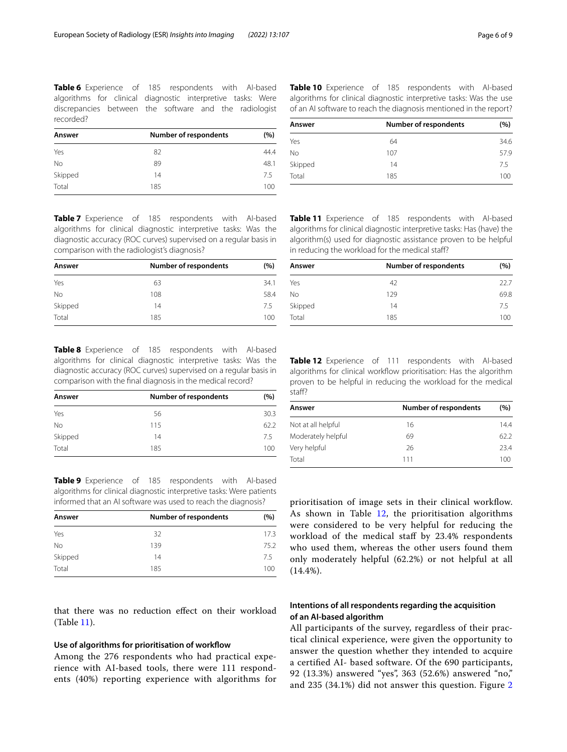<span id="page-5-0"></span>**Table 6** Experience of 185 respondents with AI-based algorithms for clinical diagnostic interpretive tasks: Were discrepancies between the software and the radiologist recorded?

| Answer    | Number of respondents | (%)  |
|-----------|-----------------------|------|
| Yes       | 82                    | 44.4 |
| <b>No</b> | 89                    | 48.1 |
| Skipped   | 14                    | 75   |
| Total     | 185                   | 100  |

<span id="page-5-1"></span>**Table 7** Experience of 185 respondents with AI-based algorithms for clinical diagnostic interpretive tasks: Was the diagnostic accuracy (ROC curves) supervised on a regular basis in comparison with the radiologist's diagnosis?

| Answer  | <b>Number of respondents</b> | (%)  |
|---------|------------------------------|------|
| Yes     | 63                           | 34.1 |
| No      | 108                          | 58.4 |
| Skipped | 14                           | 7.5  |
| Total   | 185                          | 100  |

<span id="page-5-2"></span>**Table 8** Experience of 185 respondents with AI-based algorithms for clinical diagnostic interpretive tasks: Was the diagnostic accuracy (ROC curves) supervised on a regular basis in comparison with the fnal diagnosis in the medical record?

| Answer    | <b>Number of respondents</b> | (%)  |
|-----------|------------------------------|------|
| Yes       | 56                           | 30.3 |
| <b>No</b> | 115                          | 62.2 |
| Skipped   | 14                           | 7.5  |
| Total     | 185                          | 100  |

<span id="page-5-3"></span>**Table 9** Experience of 185 respondents with AI-based algorithms for clinical diagnostic interpretive tasks: Were patients informed that an AI software was used to reach the diagnosis?

| Answer    | <b>Number of respondents</b> | (%)  |
|-----------|------------------------------|------|
| Yes       | 32                           | 17.3 |
| <b>No</b> | 139                          | 75.2 |
| Skipped   | 14                           | 7.5  |
| Total     | 185                          | 100  |

that there was no reduction efect on their workload (Table [11](#page-5-5)).

#### **Use of algorithms for prioritisation of workfow**

Among the 276 respondents who had practical experience with AI-based tools, there were 111 respondents (40%) reporting experience with algorithms for <span id="page-5-4"></span>**Table 10** Experience of 185 respondents with AI-based algorithms for clinical diagnostic interpretive tasks: Was the use of an AI software to reach the diagnosis mentioned in the report?

| Answer    | <b>Number of respondents</b> | (%)  |
|-----------|------------------------------|------|
| Yes       | 64                           | 34.6 |
| <b>No</b> | 107                          | 57.9 |
| Skipped   | 14                           | 7.5  |
| Total     | 185                          | 100  |

<span id="page-5-5"></span>**Table 11** Experience of 185 respondents with AI-based algorithms for clinical diagnostic interpretive tasks: Has (have) the algorithm(s) used for diagnostic assistance proven to be helpful in reducing the workload for the medical staf?

| <b>Number of respondents</b> | (%)  |
|------------------------------|------|
| 42                           | 22.7 |
| 129                          | 69.8 |
| 14                           | 75   |
| 185                          | 100  |
|                              |      |

<span id="page-5-6"></span>**Table 12** Experience of 111 respondents with AI-based algorithms for clinical workflow prioritisation: Has the algorithm proven to be helpful in reducing the workload for the medical staf?

| Answer             | <b>Number of respondents</b> | (%)  |
|--------------------|------------------------------|------|
| Not at all helpful | 16                           | 14.4 |
| Moderately helpful | 69                           | 62.2 |
| Very helpful       | 26                           | 23.4 |
| Total              | 111                          | 100  |

prioritisation of image sets in their clinical workflow. As shown in Table [12,](#page-5-6) the prioritisation algorithms were considered to be very helpful for reducing the workload of the medical staf by 23.4% respondents who used them, whereas the other users found them only moderately helpful (62.2%) or not helpful at all (14.4%).

# **Intentions of all respondents regarding the acquisition of an AI‑based algorithm**

All participants of the survey, regardless of their practical clinical experience, were given the opportunity to answer the question whether they intended to acquire a certifed AI- based software. Of the 690 participants, 92 (13.3%) answered "yes", 363 (52.6%) answered "no," and 235 (34.1%) did not answer this question. Figure [2](#page-6-0)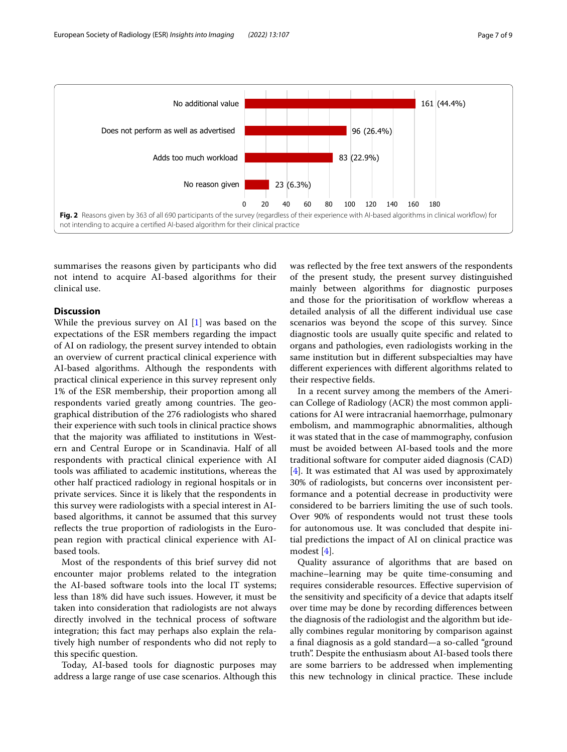

<span id="page-6-0"></span>summarises the reasons given by participants who did not intend to acquire AI-based algorithms for their clinical use.

# **Discussion**

While the previous survey on AI [\[1](#page-8-0)] was based on the expectations of the ESR members regarding the impact of AI on radiology, the present survey intended to obtain an overview of current practical clinical experience with AI-based algorithms. Although the respondents with practical clinical experience in this survey represent only 1% of the ESR membership, their proportion among all respondents varied greatly among countries. The geographical distribution of the 276 radiologists who shared their experience with such tools in clinical practice shows that the majority was affiliated to institutions in Western and Central Europe or in Scandinavia. Half of all respondents with practical clinical experience with AI tools was afliated to academic institutions, whereas the other half practiced radiology in regional hospitals or in private services. Since it is likely that the respondents in this survey were radiologists with a special interest in AIbased algorithms, it cannot be assumed that this survey refects the true proportion of radiologists in the European region with practical clinical experience with AIbased tools.

Most of the respondents of this brief survey did not encounter major problems related to the integration the AI-based software tools into the local IT systems; less than 18% did have such issues. However, it must be taken into consideration that radiologists are not always directly involved in the technical process of software integration; this fact may perhaps also explain the relatively high number of respondents who did not reply to this specifc question.

Today, AI-based tools for diagnostic purposes may address a large range of use case scenarios. Although this was refected by the free text answers of the respondents of the present study, the present survey distinguished mainly between algorithms for diagnostic purposes and those for the prioritisation of workflow whereas a detailed analysis of all the diferent individual use case scenarios was beyond the scope of this survey. Since diagnostic tools are usually quite specifc and related to organs and pathologies, even radiologists working in the same institution but in diferent subspecialties may have diferent experiences with diferent algorithms related to their respective felds.

In a recent survey among the members of the American College of Radiology (ACR) the most common applications for AI were intracranial haemorrhage, pulmonary embolism, and mammographic abnormalities, although it was stated that in the case of mammography, confusion must be avoided between AI-based tools and the more traditional software for computer aided diagnosis (CAD) [[4\]](#page-8-3). It was estimated that AI was used by approximately 30% of radiologists, but concerns over inconsistent performance and a potential decrease in productivity were considered to be barriers limiting the use of such tools. Over 90% of respondents would not trust these tools for autonomous use. It was concluded that despite initial predictions the impact of AI on clinical practice was modest [[4\]](#page-8-3).

Quality assurance of algorithms that are based on machine–learning may be quite time-consuming and requires considerable resources. Efective supervision of the sensitivity and specifcity of a device that adapts itself over time may be done by recording diferences between the diagnosis of the radiologist and the algorithm but ideally combines regular monitoring by comparison against a fnal diagnosis as a gold standard—a so-called "ground truth". Despite the enthusiasm about AI-based tools there are some barriers to be addressed when implementing this new technology in clinical practice. These include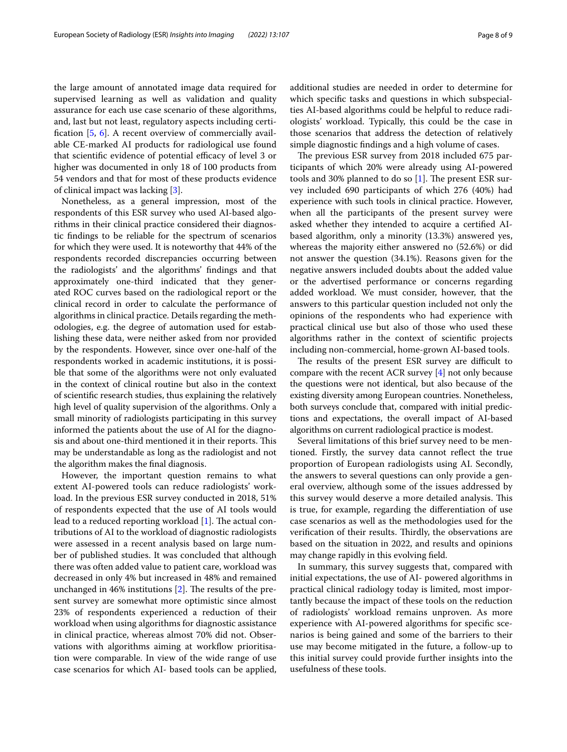the large amount of annotated image data required for supervised learning as well as validation and quality assurance for each use case scenario of these algorithms, and, last but not least, regulatory aspects including certifcation [\[5,](#page-8-4) [6](#page-8-5)]. A recent overview of commercially available CE-marked AI products for radiological use found that scientific evidence of potential efficacy of level 3 or higher was documented in only 18 of 100 products from 54 vendors and that for most of these products evidence of clinical impact was lacking [[3\]](#page-8-2).

Nonetheless, as a general impression, most of the respondents of this ESR survey who used AI-based algorithms in their clinical practice considered their diagnostic fndings to be reliable for the spectrum of scenarios for which they were used. It is noteworthy that 44% of the respondents recorded discrepancies occurring between the radiologists' and the algorithms' fndings and that approximately one-third indicated that they generated ROC curves based on the radiological report or the clinical record in order to calculate the performance of algorithms in clinical practice. Details regarding the methodologies, e.g. the degree of automation used for establishing these data, were neither asked from nor provided by the respondents. However, since over one-half of the respondents worked in academic institutions, it is possible that some of the algorithms were not only evaluated in the context of clinical routine but also in the context of scientifc research studies, thus explaining the relatively high level of quality supervision of the algorithms. Only a small minority of radiologists participating in this survey informed the patients about the use of AI for the diagnosis and about one-third mentioned it in their reports. This may be understandable as long as the radiologist and not the algorithm makes the fnal diagnosis.

However, the important question remains to what extent AI-powered tools can reduce radiologists' workload. In the previous ESR survey conducted in 2018, 51% of respondents expected that the use of AI tools would lead to a reduced reporting workload  $[1]$  $[1]$ . The actual contributions of AI to the workload of diagnostic radiologists were assessed in a recent analysis based on large number of published studies. It was concluded that although there was often added value to patient care, workload was decreased in only 4% but increased in 48% and remained unchanged in  $46\%$  institutions [[2\]](#page-8-1). The results of the present survey are somewhat more optimistic since almost 23% of respondents experienced a reduction of their workload when using algorithms for diagnostic assistance in clinical practice, whereas almost 70% did not. Observations with algorithms aiming at workflow prioritisation were comparable. In view of the wide range of use case scenarios for which AI- based tools can be applied, additional studies are needed in order to determine for which specifc tasks and questions in which subspecialties AI-based algorithms could be helpful to reduce radiologists' workload. Typically, this could be the case in those scenarios that address the detection of relatively simple diagnostic fndings and a high volume of cases.

The previous ESR survey from 2018 included 675 participants of which 20% were already using AI-powered tools and 30% planned to do so  $[1]$ . The present ESR survey included 690 participants of which 276 (40%) had experience with such tools in clinical practice. However, when all the participants of the present survey were asked whether they intended to acquire a certifed AIbased algorithm, only a minority (13.3%) answered yes, whereas the majority either answered no (52.6%) or did not answer the question (34.1%). Reasons given for the negative answers included doubts about the added value or the advertised performance or concerns regarding added workload. We must consider, however, that the answers to this particular question included not only the opinions of the respondents who had experience with practical clinical use but also of those who used these algorithms rather in the context of scientifc projects including non-commercial, home-grown AI-based tools.

The results of the present ESR survey are difficult to compare with the recent ACR survey [\[4\]](#page-8-3) not only because the questions were not identical, but also because of the existing diversity among European countries. Nonetheless, both surveys conclude that, compared with initial predictions and expectations, the overall impact of AI-based algorithms on current radiological practice is modest.

Several limitations of this brief survey need to be mentioned. Firstly, the survey data cannot refect the true proportion of European radiologists using AI. Secondly, the answers to several questions can only provide a general overview, although some of the issues addressed by this survey would deserve a more detailed analysis. This is true, for example, regarding the diferentiation of use case scenarios as well as the methodologies used for the verification of their results. Thirdly, the observations are based on the situation in 2022, and results and opinions may change rapidly in this evolving feld.

In summary, this survey suggests that, compared with initial expectations, the use of AI- powered algorithms in practical clinical radiology today is limited, most importantly because the impact of these tools on the reduction of radiologists' workload remains unproven. As more experience with AI-powered algorithms for specifc scenarios is being gained and some of the barriers to their use may become mitigated in the future, a follow-up to this initial survey could provide further insights into the usefulness of these tools.